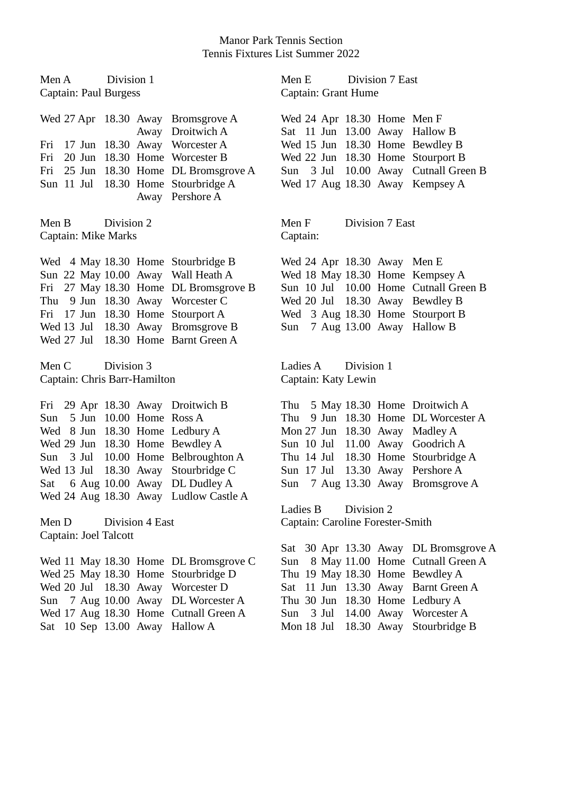## Manor Park Tennis Section Tennis Fixtures List Summer 2022

| Division 1<br>Men A<br>Captain: Paul Burgess        |                                                                                                                                                                                                                                                                         | Division 7 East<br>Men E<br>Captain: Grant Hume |                                                                                                                                                                    |                                                                                                  |  |
|-----------------------------------------------------|-------------------------------------------------------------------------------------------------------------------------------------------------------------------------------------------------------------------------------------------------------------------------|-------------------------------------------------|--------------------------------------------------------------------------------------------------------------------------------------------------------------------|--------------------------------------------------------------------------------------------------|--|
| Fri                                                 | Wed 27 Apr 18.30 Away Bromsgrove A<br>Away Droitwich A<br>17 Jun 18.30 Away Worcester A                                                                                                                                                                                 |                                                 | Wed 24 Apr 18.30 Home Men F<br>Sat 11 Jun 13.00 Away Hallow B<br>Wed 15 Jun 18.30 Home Bewdley B                                                                   |                                                                                                  |  |
| Fri<br>Fri                                          | 20 Jun 18.30 Home Worcester B<br>25 Jun 18.30 Home DL Bromsgrove A<br>Sun 11 Jul 18.30 Home Stourbridge A<br>Away Pershore A                                                                                                                                            | Sun                                             | Wed 22 Jun 18.30 Home Stourport B<br>Wed 17 Aug 18.30 Away Kempsey A                                                                                               | 3 Jul 10.00 Away Cutnall Green B                                                                 |  |
| Division 2<br>Men B<br>Captain: Mike Marks          | Men F<br>Captain:                                                                                                                                                                                                                                                       | Division 7 East                                 |                                                                                                                                                                    |                                                                                                  |  |
|                                                     | Wed 4 May 18.30 Home Stourbridge B<br>Sun 22 May 10.00 Away Wall Heath A<br>Fri 27 May 18.30 Home DL Bromsgrove B<br>Thu 9 Jun 18.30 Away Worcester C<br>Fri 17 Jun 18.30 Home Stourport A<br>Wed 13 Jul 18.30 Away Bromsgrove B<br>Wed 27 Jul 18.30 Home Barnt Green A | Sun                                             | Wed 24 Apr 18.30 Away Men E<br>Wed 18 May 18.30 Home Kempsey A<br>Wed 20 Jul 18.30 Away Bewdley B<br>Wed 3 Aug 18.30 Home Stourport B<br>7 Aug 13.00 Away Hallow B | Sun 10 Jul 10.00 Home Cutnall Green B                                                            |  |
|                                                     |                                                                                                                                                                                                                                                                         | Ladies A<br>Division 1<br>Captain: Katy Lewin   |                                                                                                                                                                    |                                                                                                  |  |
| Division 3<br>Men C<br>Captain: Chris Barr-Hamilton |                                                                                                                                                                                                                                                                         |                                                 |                                                                                                                                                                    |                                                                                                  |  |
| Sun 5 Jun 10.00 Home Ross A<br>Wed 13 Jul           | Fri 29 Apr 18.30 Away Droitwich B<br>Wed 8 Jun 18.30 Home Ledbury A<br>Wed 29 Jun 18.30 Home Bewdley A<br>Sun 3 Jul 10.00 Home Belbroughton A<br>18.30 Away Stourbridge C<br>Sat 6 Aug 10.00 Away DL Dudley A                                                           | Thu<br>Thu 14 Jul<br>Sun 17 Jul                 | Thu 5 May 18.30 Home Droitwich A<br>Mon 27 Jun 18.30 Away Madley A<br>Sun 10 Jul 11.00 Away Goodrich A<br>13.30 Away Pershore A                                    | 9 Jun 18.30 Home DL Worcester A<br>18.30 Home Stourbridge A<br>Sun 7 Aug 13.30 Away Bromsgrove A |  |
| Men D<br>Captain: Joel Talcott                      | Wed 24 Aug 18.30 Away Ludlow Castle A<br>Division 4 East                                                                                                                                                                                                                | Ladies B                                        | Division 2<br>Captain: Caroline Forester-Smith                                                                                                                     |                                                                                                  |  |